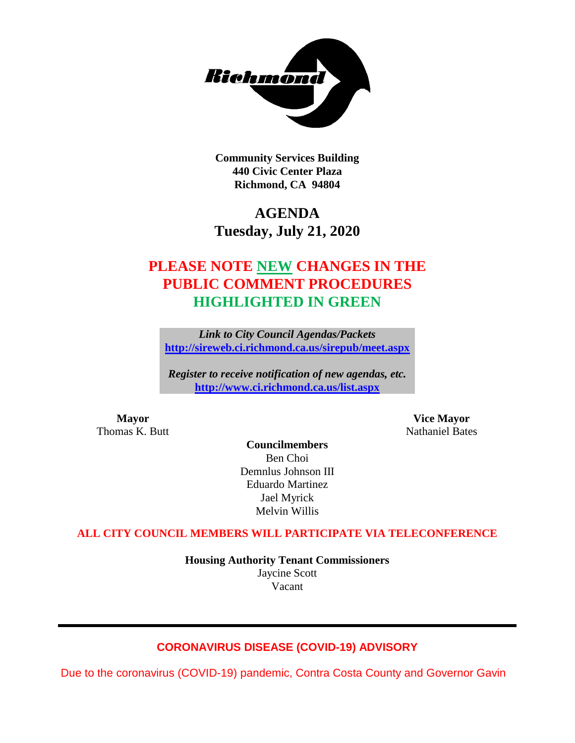

**Community Services Building 440 Civic Center Plaza Richmond, CA 94804**

# **AGENDA Tuesday, July 21, 2020**

# **PLEASE NOTE NEW CHANGES IN THE PUBLIC COMMENT PROCEDURES HIGHLIGHTED IN GREEN**

*Link to City Council Agendas/Packets* **<http://sireweb.ci.richmond.ca.us/sirepub/meet.aspx>**

*Register to receive notification of new agendas, etc.* **<http://www.ci.richmond.ca.us/list.aspx>**

**Mayor Vice Mayor** Thomas K. Butt Nathaniel Bates

**Councilmembers** Ben Choi Demnlus Johnson III Eduardo Martinez Jael Myrick Melvin Willis

#### **ALL CITY COUNCIL MEMBERS WILL PARTICIPATE VIA TELECONFERENCE**

**Housing Authority Tenant Commissioners** Jaycine Scott Vacant

#### **CORONAVIRUS DISEASE (COVID-19) ADVISORY**

Due to the coronavirus (COVID-19) pandemic, Contra Costa County and Governor Gavin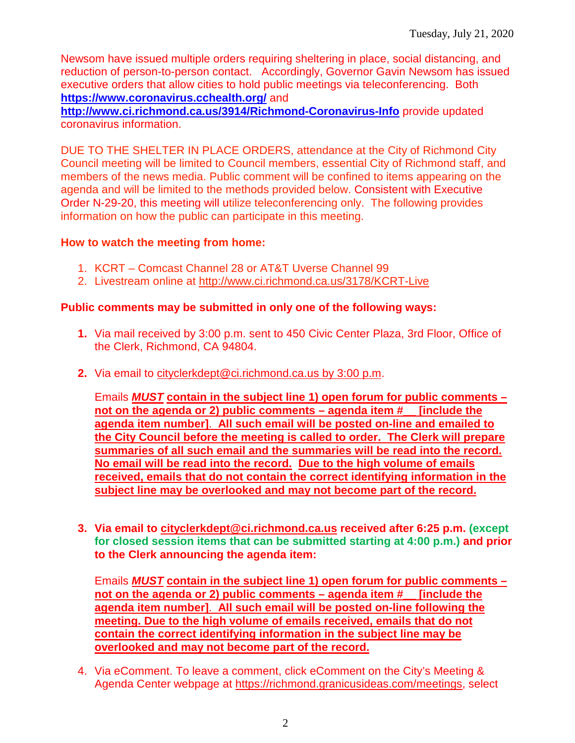Newsom have issued multiple orders requiring sheltering in place, social distancing, and reduction of person-to-person contact. Accordingly, Governor Gavin Newsom has issued executive orders that allow cities to hold public meetings via teleconferencing. Both **<https://www.coronavirus.cchealth.org/>** and

**<http://www.ci.richmond.ca.us/3914/Richmond-Coronavirus-Info>** provide updated coronavirus information.

DUE TO THE SHELTER IN PLACE ORDERS, attendance at the City of Richmond City Council meeting will be limited to Council members, essential City of Richmond staff, and members of the news media. Public comment will be confined to items appearing on the agenda and will be limited to the methods provided below. Consistent with Executive Order N-29-20, this meeting will utilize teleconferencing only. The following provides information on how the public can participate in this meeting.

#### **How to watch the meeting from home:**

- 1. KCRT Comcast Channel 28 or AT&T Uverse Channel 99
- 2. Livestream online at<http://www.ci.richmond.ca.us/3178/KCRT-Live>

#### **Public comments may be submitted in only one of the following ways:**

- **1.** Via mail received by 3:00 p.m. sent to 450 Civic Center Plaza, 3rd Floor, Office of the Clerk, Richmond, CA 94804.
- **2.** Via email to [cityclerkdept@ci.richmond.ca.us](mailto:cityclerkdept@ci.richmond.ca.us) by 3:00 p.m.

Emails *MUST* **contain in the subject line 1) open forum for public comments – not on the agenda or 2) public comments – agenda item #\_\_ [include the agenda item number]**. **All such email will be posted on-line and emailed to the City Council before the meeting is called to order. The Clerk will prepare summaries of all such email and the summaries will be read into the record. No email will be read into the record. Due to the high volume of emails received, emails that do not contain the correct identifying information in the subject line may be overlooked and may not become part of the record.**

**3. Via email to [cityclerkdept@ci.richmond.ca.us](mailto:cityclerkdept@ci.richmond.ca.us) received after 6:25 p.m. (except for closed session items that can be submitted starting at 4:00 p.m.) and prior to the Clerk announcing the agenda item:**

Emails *MUST* **contain in the subject line 1) open forum for public comments – not on the agenda or 2) public comments – agenda item #\_\_ [include the agenda item number]**. **All such email will be posted on-line following the meeting. Due to the high volume of emails received, emails that do not contain the correct identifying information in the subject line may be overlooked and may not become part of the record.**

4. Via eComment. To leave a comment, click eComment on the City's Meeting & Agenda Center webpage at [https://richmond.granicusideas.com/meetings,](https://richmond.granicusideas.com/meetings) select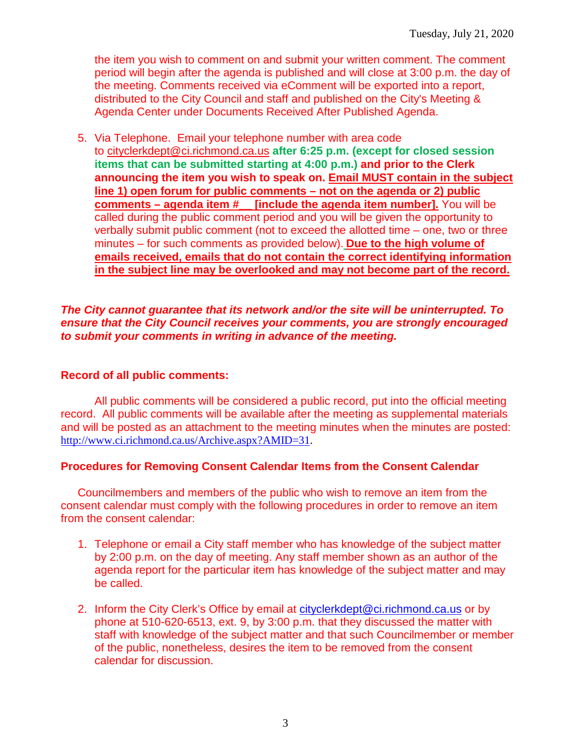the item you wish to comment on and submit your written comment. The comment period will begin after the agenda is published and will close at 3:00 p.m. the day of the meeting. Comments received via eComment will be exported into a report, distributed to the City Council and staff and published on the City's Meeting & Agenda Center under Documents Received After Published Agenda.

5. Via Telephone. Email your telephone number with area code to [cityclerkdept@ci.richmond.ca.us](mailto:cityclerkdept@ci.richmond.ca.us) **after 6:25 p.m. (except for closed session items that can be submitted starting at 4:00 p.m.) and prior to the Clerk announcing the item you wish to speak on. Email MUST contain in the subject line 1) open forum for public comments – not on the agenda or 2) public comments – agenda item #\_\_ [include the agenda item number].** You will be called during the public comment period and you will be given the opportunity to verbally submit public comment (not to exceed the allotted time – one, two or three minutes – for such comments as provided below). **Due to the high volume of emails received, emails that do not contain the correct identifying information in the subject line may be overlooked and may not become part of the record.**

#### *The City cannot guarantee that its network and/or the site will be uninterrupted. To ensure that the City Council receives your comments, you are strongly encouraged to submit your comments in writing in advance of the meeting.*

#### **Record of all public comments:**

All public comments will be considered a public record, put into the official meeting record. All public comments will be available after the meeting as supplemental materials and will be posted as an attachment to the meeting minutes when the minutes are posted: [http://www.ci.richmond.ca.us/Archive.aspx?AMID=31.](http://www.ci.richmond.ca.us/Archive.aspx?AMID=31)

#### **Procedures for Removing Consent Calendar Items from the Consent Calendar**

Councilmembers and members of the public who wish to remove an item from the consent calendar must comply with the following procedures in order to remove an item from the consent calendar:

- 1. Telephone or email a City staff member who has knowledge of the subject matter by 2:00 p.m. on the day of meeting. Any staff member shown as an author of the agenda report for the particular item has knowledge of the subject matter and may be called.
- 2. Inform the City Clerk's Office by email at [cityclerkdept@ci.richmond.ca.us](mailto:cityclerkdept@ci.richmond.ca.us) or by phone at 510-620-6513, ext. 9, by 3:00 p.m. that they discussed the matter with staff with knowledge of the subject matter and that such Councilmember or member of the public, nonetheless, desires the item to be removed from the consent calendar for discussion.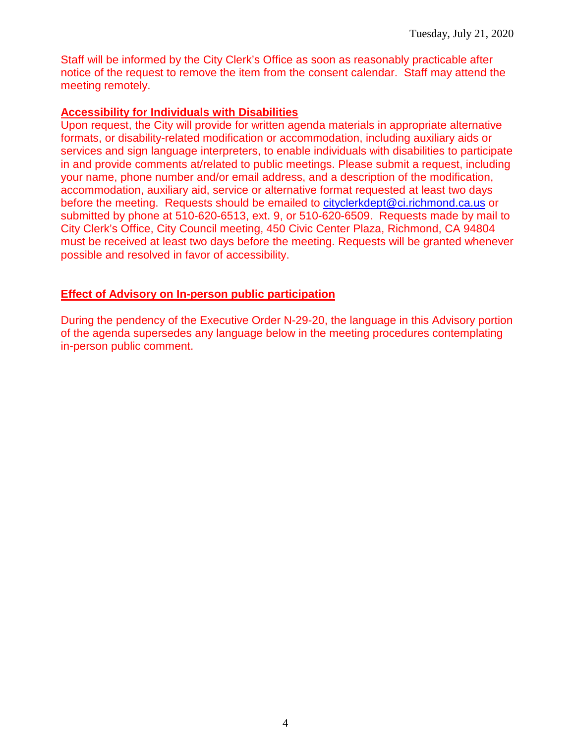Staff will be informed by the City Clerk's Office as soon as reasonably practicable after notice of the request to remove the item from the consent calendar. Staff may attend the meeting remotely.

#### **Accessibility for Individuals with Disabilities**

Upon request, the City will provide for written agenda materials in appropriate alternative formats, or disability-related modification or accommodation, including auxiliary aids or services and sign language interpreters, to enable individuals with disabilities to participate in and provide comments at/related to public meetings. Please submit a request, including your name, phone number and/or email address, and a description of the modification, accommodation, auxiliary aid, service or alternative format requested at least two days before the meeting. Requests should be emailed to [cityclerkdept@ci.richmond.ca.us](mailto:cityclerkdept@ci.richmond.ca.us) or submitted by phone at 510-620-6513, ext. 9, or 510-620-6509. Requests made by mail to City Clerk's Office, City Council meeting, 450 Civic Center Plaza, Richmond, CA 94804 must be received at least two days before the meeting. Requests will be granted whenever possible and resolved in favor of accessibility.

#### **Effect of Advisory on In-person public participation**

During the pendency of the Executive Order N-29-20, the language in this Advisory portion of the agenda supersedes any language below in the meeting procedures contemplating in-person public comment.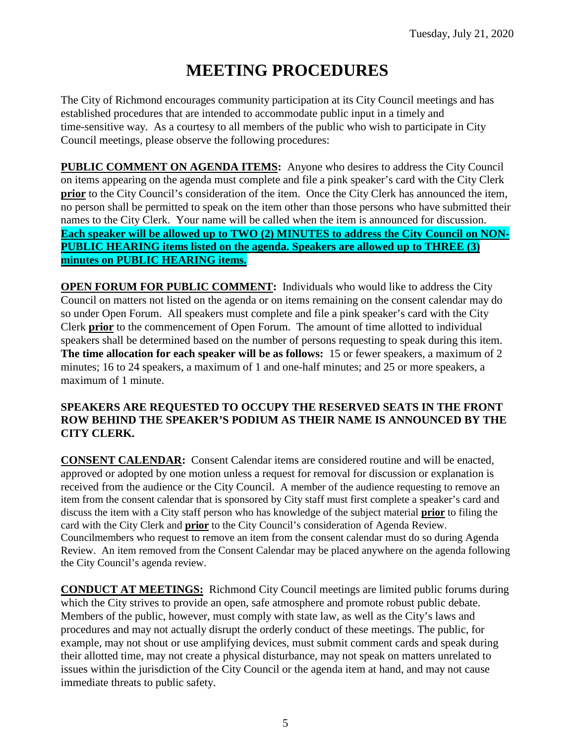# **MEETING PROCEDURES**

The City of Richmond encourages community participation at its City Council meetings and has established procedures that are intended to accommodate public input in a timely and time-sensitive way. As a courtesy to all members of the public who wish to participate in City Council meetings, please observe the following procedures:

**PUBLIC COMMENT ON AGENDA ITEMS:** Anyone who desires to address the City Council on items appearing on the agenda must complete and file a pink speaker's card with the City Clerk **prior** to the City Council's consideration of the item. Once the City Clerk has announced the item, no person shall be permitted to speak on the item other than those persons who have submitted their names to the City Clerk. Your name will be called when the item is announced for discussion. **Each speaker will be allowed up to TWO (2) MINUTES to address the City Council on NON-PUBLIC HEARING items listed on the agenda. Speakers are allowed up to THREE (3) minutes on PUBLIC HEARING items.**

**OPEN FORUM FOR PUBLIC COMMENT:** Individuals who would like to address the City Council on matters not listed on the agenda or on items remaining on the consent calendar may do so under Open Forum. All speakers must complete and file a pink speaker's card with the City Clerk **prior** to the commencement of Open Forum. The amount of time allotted to individual speakers shall be determined based on the number of persons requesting to speak during this item. **The time allocation for each speaker will be as follows:** 15 or fewer speakers, a maximum of 2 minutes; 16 to 24 speakers, a maximum of 1 and one-half minutes; and 25 or more speakers, a maximum of 1 minute.

#### **SPEAKERS ARE REQUESTED TO OCCUPY THE RESERVED SEATS IN THE FRONT ROW BEHIND THE SPEAKER'S PODIUM AS THEIR NAME IS ANNOUNCED BY THE CITY CLERK.**

**CONSENT CALENDAR:** Consent Calendar items are considered routine and will be enacted, approved or adopted by one motion unless a request for removal for discussion or explanation is received from the audience or the City Council. A member of the audience requesting to remove an item from the consent calendar that is sponsored by City staff must first complete a speaker's card and discuss the item with a City staff person who has knowledge of the subject material **prior** to filing the card with the City Clerk and **prior** to the City Council's consideration of Agenda Review. Councilmembers who request to remove an item from the consent calendar must do so during Agenda Review. An item removed from the Consent Calendar may be placed anywhere on the agenda following the City Council's agenda review.

**CONDUCT AT MEETINGS:** Richmond City Council meetings are limited public forums during which the City strives to provide an open, safe atmosphere and promote robust public debate. Members of the public, however, must comply with state law, as well as the City's laws and procedures and may not actually disrupt the orderly conduct of these meetings. The public, for example, may not shout or use amplifying devices, must submit comment cards and speak during their allotted time, may not create a physical disturbance, may not speak on matters unrelated to issues within the jurisdiction of the City Council or the agenda item at hand, and may not cause immediate threats to public safety.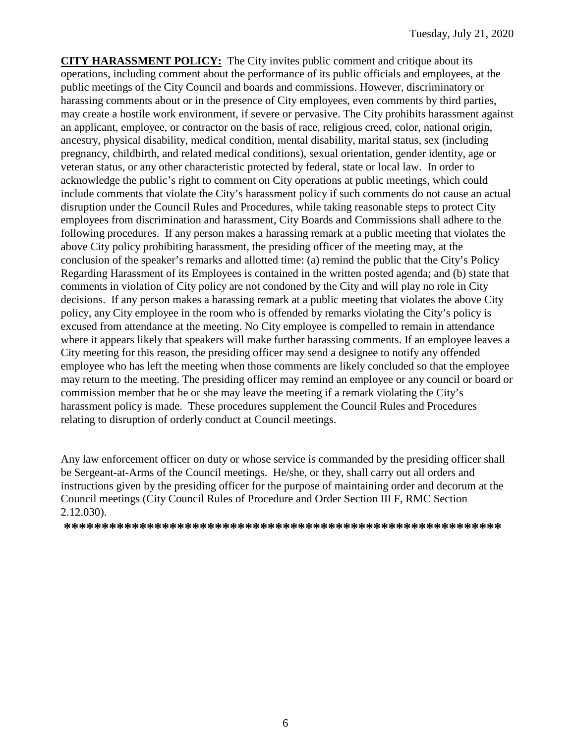**CITY HARASSMENT POLICY:** The City invites public comment and critique about its operations, including comment about the performance of its public officials and employees, at the public meetings of the City Council and boards and commissions. However, discriminatory or harassing comments about or in the presence of City employees, even comments by third parties, may create a hostile work environment, if severe or pervasive. The City prohibits harassment against an applicant, employee, or contractor on the basis of race, religious creed, color, national origin, ancestry, physical disability, medical condition, mental disability, marital status, sex (including pregnancy, childbirth, and related medical conditions), sexual orientation, gender identity, age or veteran status, or any other characteristic protected by federal, state or local law. In order to acknowledge the public's right to comment on City operations at public meetings, which could include comments that violate the City's harassment policy if such comments do not cause an actual disruption under the Council Rules and Procedures, while taking reasonable steps to protect City employees from discrimination and harassment, City Boards and Commissions shall adhere to the following procedures. If any person makes a harassing remark at a public meeting that violates the above City policy prohibiting harassment, the presiding officer of the meeting may, at the conclusion of the speaker's remarks and allotted time: (a) remind the public that the City's Policy Regarding Harassment of its Employees is contained in the written posted agenda; and (b) state that comments in violation of City policy are not condoned by the City and will play no role in City decisions. If any person makes a harassing remark at a public meeting that violates the above City policy, any City employee in the room who is offended by remarks violating the City's policy is excused from attendance at the meeting. No City employee is compelled to remain in attendance where it appears likely that speakers will make further harassing comments. If an employee leaves a City meeting for this reason, the presiding officer may send a designee to notify any offended employee who has left the meeting when those comments are likely concluded so that the employee may return to the meeting. The presiding officer may remind an employee or any council or board or commission member that he or she may leave the meeting if a remark violating the City's harassment policy is made. These procedures supplement the Council Rules and Procedures relating to disruption of orderly conduct at Council meetings.

Any law enforcement officer on duty or whose service is commanded by the presiding officer shall be Sergeant-at-Arms of the Council meetings. He/she, or they, shall carry out all orders and instructions given by the presiding officer for the purpose of maintaining order and decorum at the Council meetings (City Council Rules of Procedure and Order Section III F, RMC Section 2.12.030).

**\*\*\*\*\*\*\*\*\*\*\*\*\*\*\*\*\*\*\*\*\*\*\*\*\*\*\*\*\*\*\*\*\*\*\*\*\*\*\*\*\*\*\*\*\*\*\*\*\*\*\*\*\*\*\*\*\*\***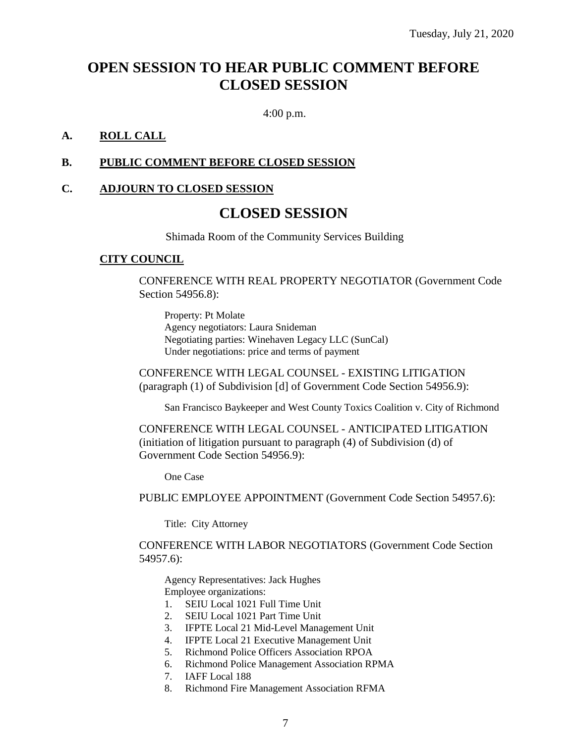### **OPEN SESSION TO HEAR PUBLIC COMMENT BEFORE CLOSED SESSION**

4:00 p.m.

#### **A. ROLL CALL**

#### **B. PUBLIC COMMENT BEFORE CLOSED SESSION**

#### **C. ADJOURN TO CLOSED SESSION**

### **CLOSED SESSION**

Shimada Room of the Community Services Building

#### **CITY COUNCIL**

CONFERENCE WITH REAL PROPERTY NEGOTIATOR (Government Code Section 54956.8):

Property: Pt Molate Agency negotiators: Laura Snideman Negotiating parties: Winehaven Legacy LLC (SunCal) Under negotiations: price and terms of payment

CONFERENCE WITH LEGAL COUNSEL - EXISTING LITIGATION (paragraph (1) of Subdivision [d] of Government Code Section 54956.9):

San Francisco Baykeeper and West County Toxics Coalition v. City of Richmond

CONFERENCE WITH LEGAL COUNSEL - ANTICIPATED LITIGATION (initiation of litigation pursuant to paragraph (4) of Subdivision (d) of Government Code Section 54956.9):

One Case

PUBLIC EMPLOYEE APPOINTMENT (Government Code Section 54957.6):

Title: City Attorney

CONFERENCE WITH LABOR NEGOTIATORS (Government Code Section 54957.6):

Agency Representatives: Jack Hughes Employee organizations:

- 1. SEIU Local 1021 Full Time Unit
- 2. SEIU Local 1021 Part Time Unit
- 3. IFPTE Local 21 Mid-Level Management Unit
- 4. IFPTE Local 21 Executive Management Unit
- 5. Richmond Police Officers Association RPOA
- 6. Richmond Police Management Association RPMA
- 7. IAFF Local 188
- 8. Richmond Fire Management Association RFMA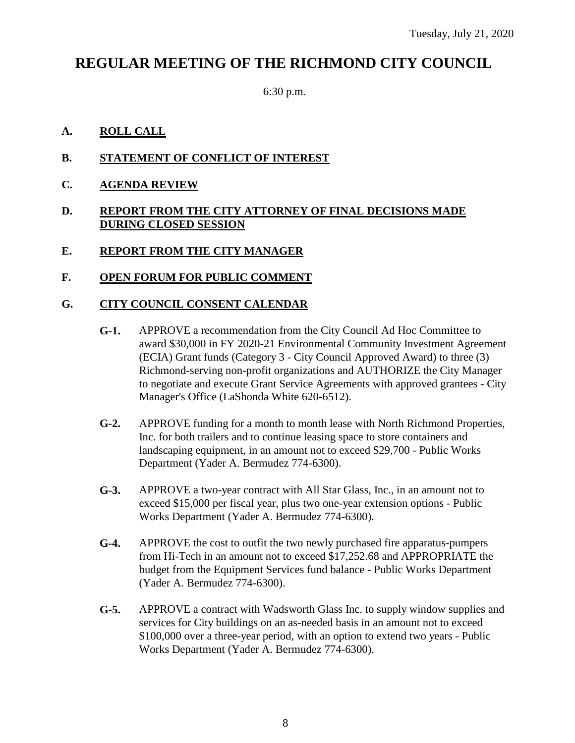## **REGULAR MEETING OF THE RICHMOND CITY COUNCIL**

6:30 p.m.

#### **A. ROLL CALL**

- **B. STATEMENT OF CONFLICT OF INTEREST**
- **C. AGENDA REVIEW**

#### **D. REPORT FROM THE CITY ATTORNEY OF FINAL DECISIONS MADE DURING CLOSED SESSION**

**E. REPORT FROM THE CITY MANAGER**

#### **F. OPEN FORUM FOR PUBLIC COMMENT**

#### **G. CITY COUNCIL CONSENT CALENDAR**

- **G-1.** APPROVE a recommendation from the City Council Ad Hoc Committee to award \$30,000 in FY 2020-21 Environmental Community Investment Agreement (ECIA) Grant funds (Category 3 - City Council Approved Award) to three (3) Richmond-serving non-profit organizations and AUTHORIZE the City Manager to negotiate and execute Grant Service Agreements with approved grantees - City Manager's Office (LaShonda White 620-6512).
- **G-2.** APPROVE funding for a month to month lease with North Richmond Properties, Inc. for both trailers and to continue leasing space to store containers and landscaping equipment, in an amount not to exceed \$29,700 - Public Works Department (Yader A. Bermudez 774-6300).
- **G-3.** APPROVE a two-year contract with All Star Glass, Inc., in an amount not to exceed \$15,000 per fiscal year, plus two one-year extension options - Public Works Department (Yader A. Bermudez 774-6300).
- **G-4.** APPROVE the cost to outfit the two newly purchased fire apparatus-pumpers from Hi-Tech in an amount not to exceed \$17,252.68 and APPROPRIATE the budget from the Equipment Services fund balance - Public Works Department (Yader A. Bermudez 774-6300).
- **G-5.** APPROVE a contract with Wadsworth Glass Inc. to supply window supplies and services for City buildings on an as-needed basis in an amount not to exceed \$100,000 over a three-year period, with an option to extend two years - Public Works Department (Yader A. Bermudez 774-6300).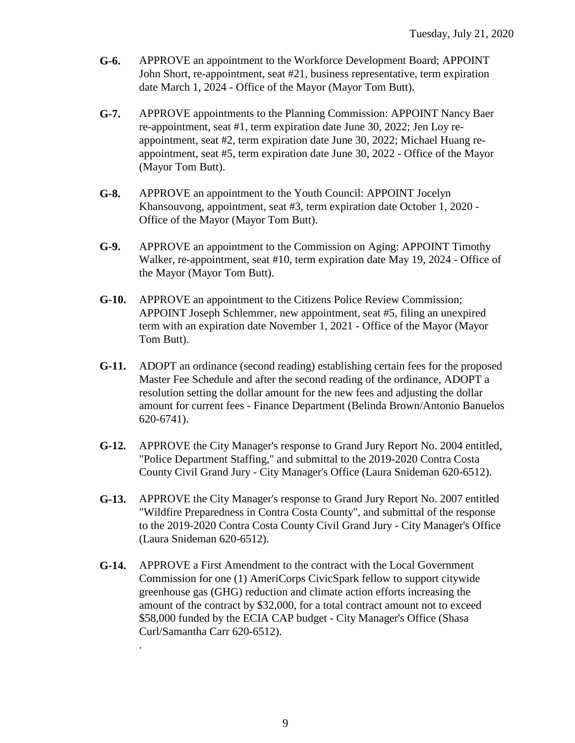- **G-6.** APPROVE an appointment to the Workforce Development Board; APPOINT John Short, re-appointment, seat #21, business representative, term expiration date March 1, 2024 - Office of the Mayor (Mayor Tom Butt).
- **G-7.** APPROVE appointments to the Planning Commission: APPOINT Nancy Baer re-appointment, seat #1, term expiration date June 30, 2022; Jen Loy reappointment, seat #2, term expiration date June 30, 2022; Michael Huang reappointment, seat #5, term expiration date June 30, 2022 - Office of the Mayor (Mayor Tom Butt).
- **G-8.** APPROVE an appointment to the Youth Council: APPOINT Jocelyn Khansouvong, appointment, seat #3, term expiration date October 1, 2020 - Office of the Mayor (Mayor Tom Butt).
- **G-9.** APPROVE an appointment to the Commission on Aging: APPOINT Timothy Walker, re-appointment, seat #10, term expiration date May 19, 2024 - Office of the Mayor (Mayor Tom Butt).
- **G-10.** APPROVE an appointment to the Citizens Police Review Commission; APPOINT Joseph Schlemmer, new appointment, seat #5, filing an unexpired term with an expiration date November 1, 2021 - Office of the Mayor (Mayor Tom Butt).
- **G-11.** ADOPT an ordinance (second reading) establishing certain fees for the proposed Master Fee Schedule and after the second reading of the ordinance, ADOPT a resolution setting the dollar amount for the new fees and adjusting the dollar amount for current fees - Finance Department (Belinda Brown/Antonio Banuelos 620-6741).
- **G-12.** APPROVE the City Manager's response to Grand Jury Report No. 2004 entitled, "Police Department Staffing," and submittal to the 2019-2020 Contra Costa County Civil Grand Jury - City Manager's Office (Laura Snideman 620-6512).
- **G-13.** APPROVE the City Manager's response to Grand Jury Report No. 2007 entitled "Wildfire Preparedness in Contra Costa County", and submittal of the response to the 2019-2020 Contra Costa County Civil Grand Jury - City Manager's Office (Laura Snideman 620-6512).
- **G-14.** APPROVE a First Amendment to the contract with the Local Government Commission for one (1) AmeriCorps CivicSpark fellow to support citywide greenhouse gas (GHG) reduction and climate action efforts increasing the amount of the contract by \$32,000, for a total contract amount not to exceed \$58,000 funded by the ECIA CAP budget - City Manager's Office (Shasa Curl/Samantha Carr 620-6512).

.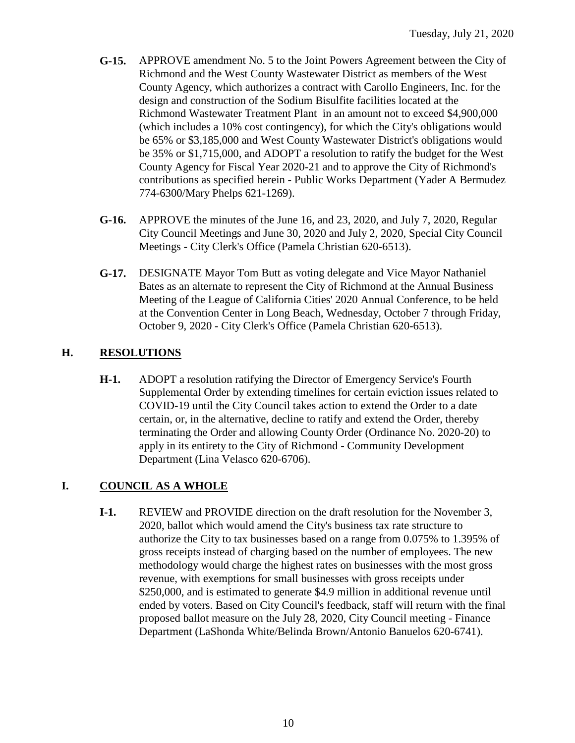- **G-15.** APPROVE amendment No. 5 to the Joint Powers Agreement between the City of Richmond and the West County Wastewater District as members of the West County Agency, which authorizes a contract with Carollo Engineers, Inc. for the design and construction of the Sodium Bisulfite facilities located at the Richmond Wastewater Treatment Plant in an amount not to exceed \$4,900,000 (which includes a 10% cost contingency), for which the City's obligations would be 65% or \$3,185,000 and West County Wastewater District's obligations would be 35% or \$1,715,000, and ADOPT a resolution to ratify the budget for the West County Agency for Fiscal Year 2020-21 and to approve the City of Richmond's contributions as specified herein - Public Works Department (Yader A Bermudez 774-6300/Mary Phelps 621-1269).
- **G-16.** APPROVE the minutes of the June 16, and 23, 2020, and July 7, 2020, Regular City Council Meetings and June 30, 2020 and July 2, 2020, Special City Council Meetings - City Clerk's Office (Pamela Christian 620-6513).
- **G-17.** DESIGNATE Mayor Tom Butt as voting delegate and Vice Mayor Nathaniel Bates as an alternate to represent the City of Richmond at the Annual Business Meeting of the League of California Cities' 2020 Annual Conference, to be held at the Convention Center in Long Beach, Wednesday, October 7 through Friday, October 9, 2020 - City Clerk's Office (Pamela Christian 620-6513).

### **H. RESOLUTIONS**

**H-1.** ADOPT a resolution ratifying the Director of Emergency Service's Fourth Supplemental Order by extending timelines for certain eviction issues related to COVID-19 until the City Council takes action to extend the Order to a date certain, or, in the alternative, decline to ratify and extend the Order, thereby terminating the Order and allowing County Order (Ordinance No. 2020-20) to apply in its entirety to the City of Richmond - Community Development Department (Lina Velasco 620-6706).

### **I. COUNCIL AS A WHOLE**

**I-1.** REVIEW and PROVIDE direction on the draft resolution for the November 3, 2020, ballot which would amend the City's business tax rate structure to authorize the City to tax businesses based on a range from 0.075% to 1.395% of gross receipts instead of charging based on the number of employees. The new methodology would charge the highest rates on businesses with the most gross revenue, with exemptions for small businesses with gross receipts under \$250,000, and is estimated to generate \$4.9 million in additional revenue until ended by voters. Based on City Council's feedback, staff will return with the final proposed ballot measure on the July 28, 2020, City Council meeting - Finance Department (LaShonda White/Belinda Brown/Antonio Banuelos 620-6741).